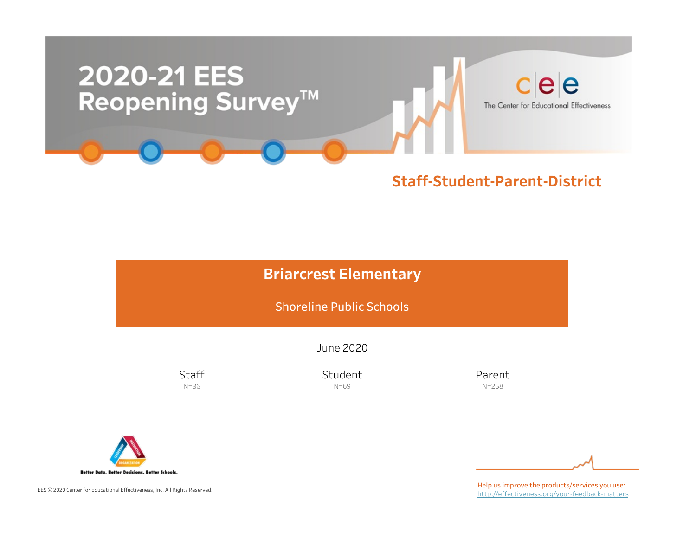

### Staff-Student-Parent-District

## **Briarcrest Elementary**

Shoreline Public Schools

June2020

**Staff** N=36

Student N=69

Parent N=258



EES © 2020 Center for Educational Effectiveness, Inc. All Rights Reserved.

Help us improve the products/services you use: http://effectiveness.org/your-feedback-matters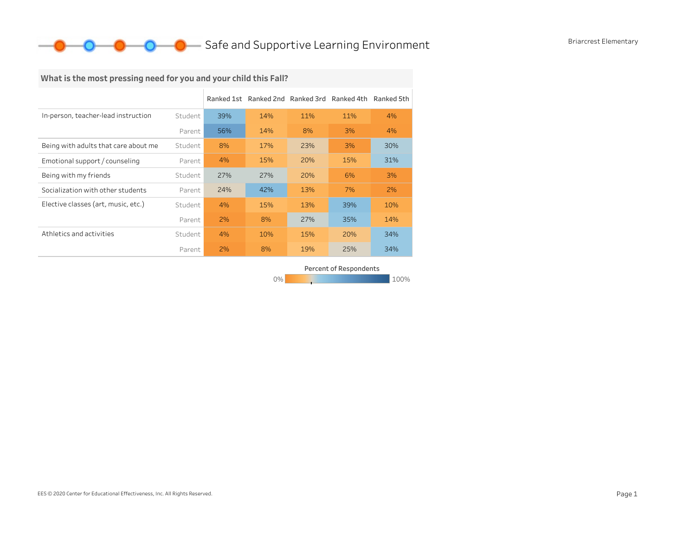## **O** Safe and Supportive Learning Environment Briarcrest Elementary

## What is the most pressing need for you and your child this Fall?

|                                      |         | Ranked 1st |     | Ranked 2nd Ranked 3rd | Ranked 4th | Ranked 5th |
|--------------------------------------|---------|------------|-----|-----------------------|------------|------------|
| In-person, teacher-lead instruction  | Student | 39%        | 14% | 11%                   | 11%        | 4%         |
|                                      | Parent  | 56%        | 14% | 8%                    | 3%         | 4%         |
| Being with adults that care about me | Student | 8%         | 17% | 23%                   | 3%         | 30%        |
| Emotional support / counseling       | Parent  | 4%         | 15% | 20%                   | 15%        | 31%        |
| Being with my friends                | Student | 27%        | 27% | 20%                   | 6%         | 3%         |
| Socialization with other students    | Parent  | 24%        | 42% | 13%                   | 7%         | 2%         |
| Elective classes (art, music, etc.)  | Student | 4%         | 15% | 13%                   | 39%        | 10%        |
|                                      | Parent  | 2%         | 8%  | 27%                   | 35%        | 14%        |
| Athletics and activities             | Student | 4%         | 10% | 15%                   | 20%        | 34%        |
|                                      | Parent  | 2%         | 8%  | 19%                   | 25%        | 34%        |

Percent of Respondents

0% 100% 100% 100% 100%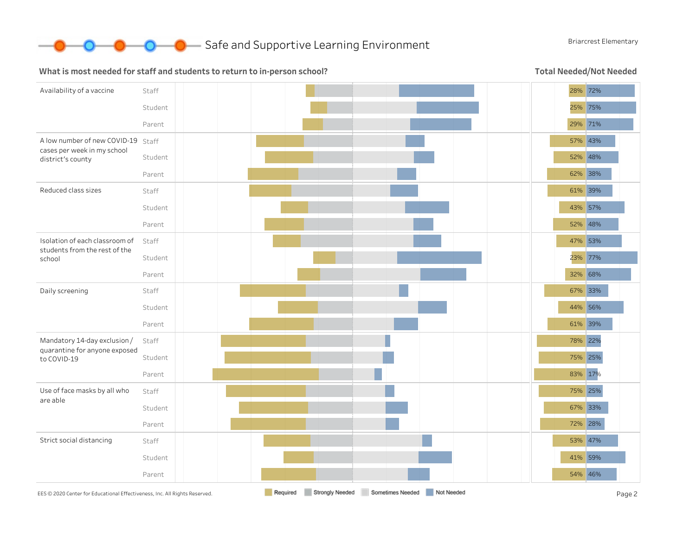

#### What is most needed for staff and students to return to in-person school?

Total Needed/Not Needed

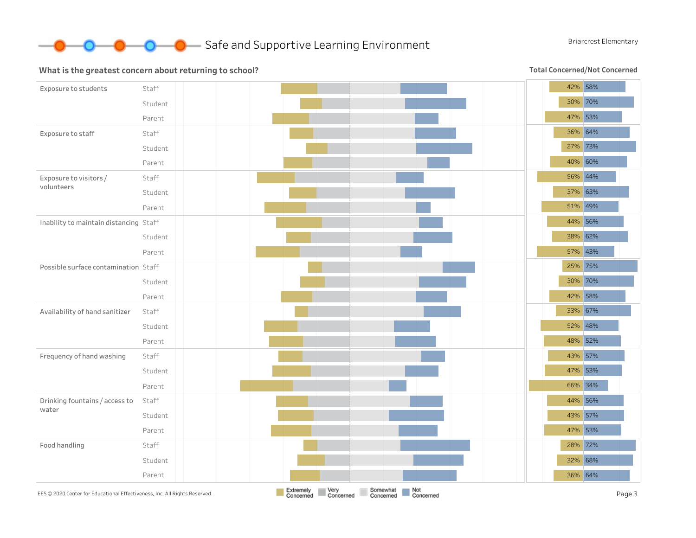

#### What is the greatest concern about returning to school?

Total Concerned/Not Concerned

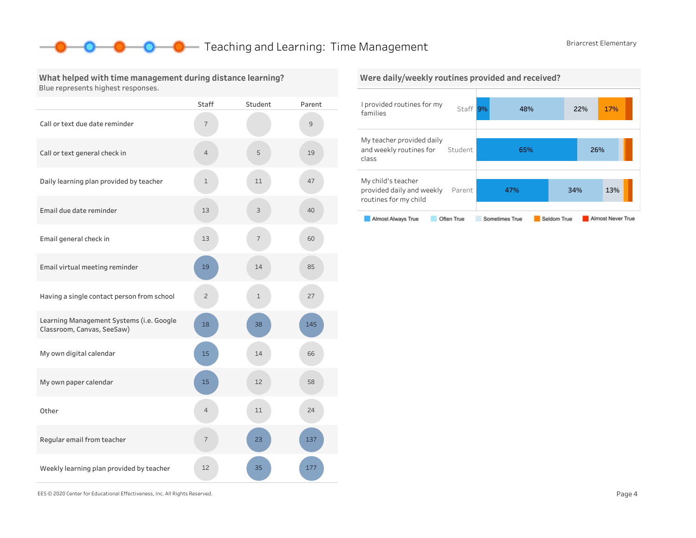### **O** Teaching and Learning: Time Management Briarcrest Elementary

What helped with time management during distance learning? Blue represents highest responses.

|                                                                        | <b>Staff</b>   | Student     | Parent |
|------------------------------------------------------------------------|----------------|-------------|--------|
| Call or text due date reminder                                         | 7              |             | 9      |
| Call or text general check in                                          | 4              | 5           | 19     |
| Daily learning plan provided by teacher                                | $\mathbf 1$    | 11          | 47     |
| Email due date reminder                                                | 13             | 3           | 40     |
| Email general check in                                                 | 13             | 7           | 60     |
| Email virtual meeting reminder                                         | 19             | 14          | 85     |
| Having a single contact person from school                             | $\overline{c}$ | $\mathbf 1$ | 27     |
| Learning Management Systems (i.e. Google<br>Classroom, Canvas, SeeSaw) | 18             | 38          | 145    |
| My own digital calendar                                                | 15             | 14          | 66     |
| My own paper calendar                                                  | 15             | 12          | 58     |
| Other                                                                  | $\overline{4}$ | 11          | 24     |
| Regular email from teacher                                             | 7              | 23          | 137    |
| Weekly learning plan provided by teacher                               | 12             | 35          | 177    |

#### Were daily/weekly routines provided and received?



EES©2020CenterforEducationalEffectiveness,Inc.AllRightsReserved. Page4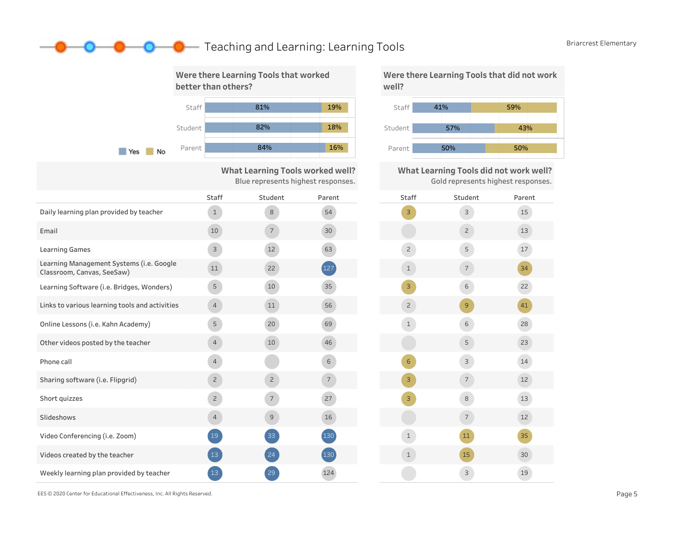## **O** Teaching and Learning: Learning Tools Briarcrest Elementary



What Learning Tools worked well? Blue represents highest responses.

|                                                                        | Staff          | Student         | Parent         | <b>Staff</b>   |
|------------------------------------------------------------------------|----------------|-----------------|----------------|----------------|
| Daily learning plan provided by teacher                                | $\mathbf{1}$   | 8               | 54             | $\overline{3}$ |
| Email                                                                  | 10             | $7\overline{ }$ | 30             |                |
| <b>Learning Games</b>                                                  | 3              | 12              | 63             | $\overline{c}$ |
| Learning Management Systems (i.e. Google<br>Classroom, Canvas, SeeSaw) | 11             | 22              | 127            | $\mathbf 1$    |
| Learning Software (i.e. Bridges, Wonders)                              | 5              | 10              | 35             | $\overline{3}$ |
| Links to various learning tools and activities                         | $\overline{4}$ | 11              | 56             | $\overline{2}$ |
| Online Lessons (i.e. Kahn Academy)                                     | 5              | 20              | 69             | $\mathbf{1}$   |
| Other videos posted by the teacher                                     | $\overline{4}$ | 10              | 46             |                |
| Phone call                                                             | $\overline{4}$ |                 | 6              | 6              |
| Sharing software (i.e. Flipgrid)                                       | $\overline{c}$ | $\overline{c}$  | $\overline{7}$ | 3              |
| Short quizzes                                                          | $\sqrt{2}$     | $\overline{7}$  | 27             | $\mathbf{B}$   |
| Slideshows                                                             | $\overline{4}$ | $\mathcal{G}$   | 16             |                |
| Video Conferencing (i.e. Zoom)                                         | 19             | 33              | 130            | $\mathbf{1}$   |
| Videos created by the teacher                                          | 13             | 24              | 130            | $\mathbf{1}$   |
| Weekly learning plan provided by teacher                               | 13             | 29              | 124            |                |

Were there Learning Tools that did not work well?



What Learning Tools did not work well? Gold represents highest responses.



EES©2020CenterforEducationalEffectiveness,Inc.AllRightsReserved. Page5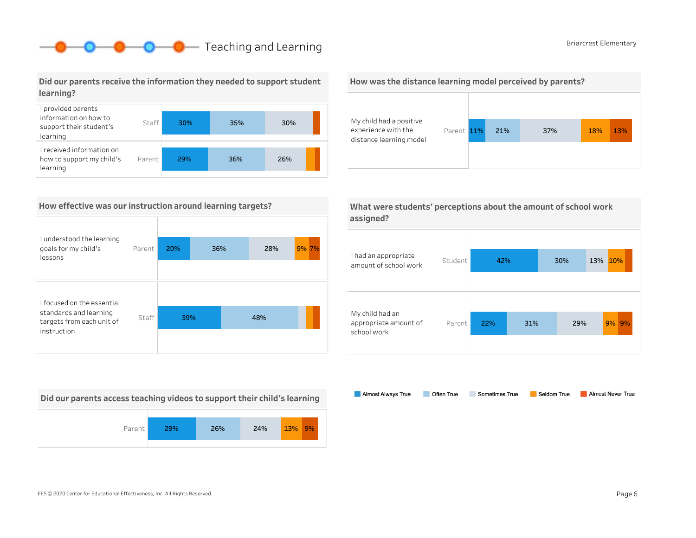## **O** Briarcrest Elementary

#### Did our parents receive the information they needed to support student learning?



#### How effective was our instruction around learning targets?

| I understood the learning<br>goals for my child's<br>lessons       | Parent | 20% | 36% | 28% | 9% 7% |
|--------------------------------------------------------------------|--------|-----|-----|-----|-------|
| I focused on the essential                                         |        |     |     |     |       |
| standards and learning<br>targets from each unit of<br>instruction | Staff  | 39% |     | 48% |       |
|                                                                    |        |     |     |     |       |

Did our parents access teaching videos to support their child's learning







| What were students' perceptions about the amount of school work |  |
|-----------------------------------------------------------------|--|
| assigned?                                                       |  |



Almost Always True Almost Never True Often True Sometimes True Seldom True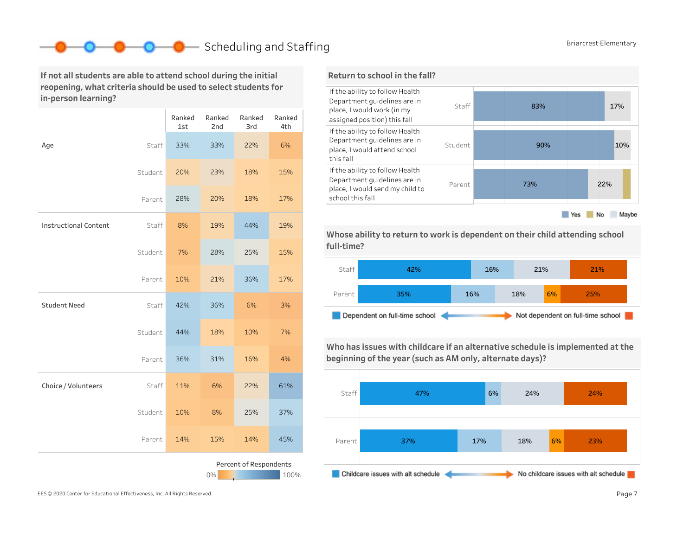## Scheduling and Staffing Briarcrest Elementary

If not all students are able to attend school during the initial reopening, what criteria should be used to select students for in-person learning?

|                              |         | Ranked<br>1st | Ranked<br>2nd | Ranked<br>3rd          | Ranked<br>4th |
|------------------------------|---------|---------------|---------------|------------------------|---------------|
| Age                          | Staff   | 33%           | 33%           | 22%                    | 6%            |
|                              | Student | 20%           | 23%           | 18%                    | 15%           |
|                              | Parent  | 28%           | 20%           | 18%                    | 17%           |
| <b>Instructional Content</b> | Staff   | 8%            | 19%           | 44%                    | 19%           |
|                              | Student | 7%            | 28%           | 25%                    | 15%           |
|                              | Parent  | 10%           | 21%           | 36%                    | 17%           |
| <b>Student Need</b>          | Staff   | 42%           | 36%           | 6%                     | 3%            |
|                              | Student | 44%           | 18%           | 10%                    | 7%            |
|                              | Parent  | 36%           | 31%           | 16%                    | 4%            |
| Choice / Volunteers          | Staff   | 11%           | 6%            | 22%                    | 61%           |
|                              | Student | 10%           | 8%            | 25%                    | 37%           |
|                              | Parent  | 14%           | 15%           | 14%                    | 45%           |
|                              |         |               | 0%            | Percent of Respondents | 100%          |



Whose ability to return to work is dependent on their child attending school full-time?



Who has issues with childcare if an alternative schedule is implemented at the beginning of the year (such as AM only, alternate days)?



EES © 2020 Center for Educational Effectiveness, Inc. All Rights Reserved. **Page 7** Page 7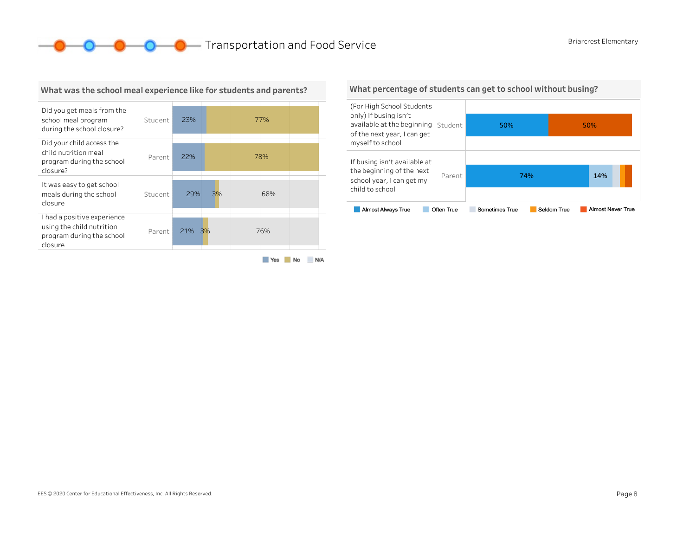**O O O** Transportation and Food Service Briarcrest Elementary



#### What was the school meal experience like for students and parents?

Yes No N/A

#### What percentage of students can get to school without busing?

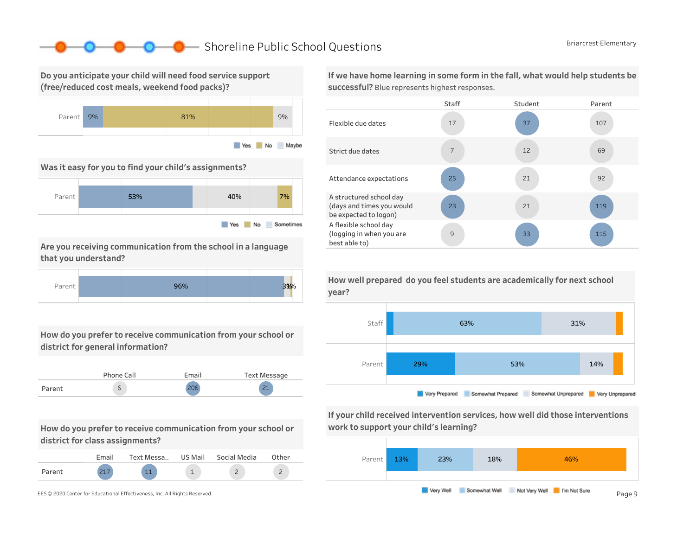### ■ Shoreline Public School Questions Briarcrest Elementary

Do you anticipate your child will need food service support (free/reduced cost meals, weekend food packs)?



Was it easy for you to find your child's assignments?



Are you receiving communication from the school in a language that you understand?



How do you prefer to receive communication from your school or district for general information?

|        | Phone Call | Email | Text Message  |
|--------|------------|-------|---------------|
| Parent | ь          | 206   | $\mathcal{L}$ |

How do you prefer to receive communication from your school or district for class assignments?

|        | <b>Email</b> | Text Messa | US Mail | Social Media | Other |
|--------|--------------|------------|---------|--------------|-------|
| Parent |              |            |         |              |       |



If we have home learning in some form in the fall, what would help students be successful? Blue represents highest responses.





If your child received intervention services, how well did those interventions work to support your child's learning?



How well prepared do you feel students are academically for next school year?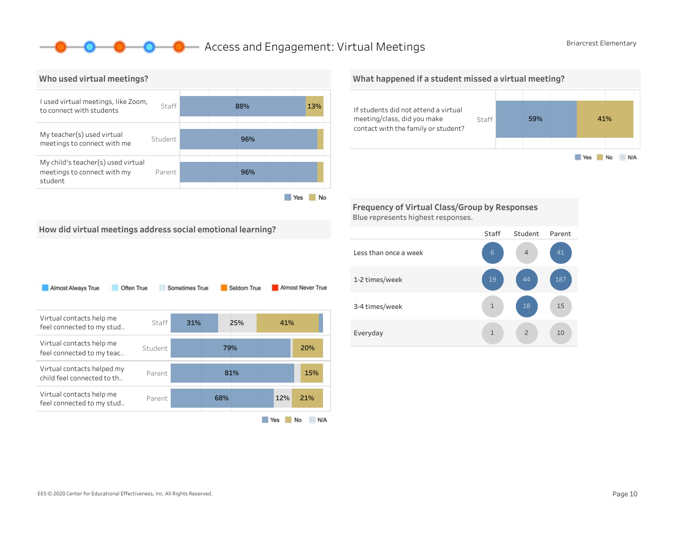### **O** Access and Engagement: Virtual Meetings Briarcrest Elementary



What happened if a student missed a virtual meeting?



Frequency of Virtual Class/Group by Responses Blue represents highest responses.

How did virtual meetings address social emotional learning?

| Almost Always True                                       | Often True | Sometimes True |     | Seldom True |     | Almost Never True |
|----------------------------------------------------------|------------|----------------|-----|-------------|-----|-------------------|
| Virtual contacts help me<br>feel connected to my stud    | Staff      | 31%            |     | 25%         | 41% |                   |
| Virtual contacts help me<br>feel connected to my teac    | Student    |                | 79% |             |     | 20%               |
| Virtual contacts helped my<br>child feel connected to th | Parent     |                |     | 81%         |     | 15%               |
| Virtual contacts help me<br>feel connected to my stud    | Parent     |                | 68% |             | 12% | 21%               |
|                                                          |            |                |     |             | Yes | No<br>N/A         |

#### Staff Student Parent Lessthanonceaweek 1-2times/week 3-4 times/week Everyday 1 2 10 15 187 2 4 1 1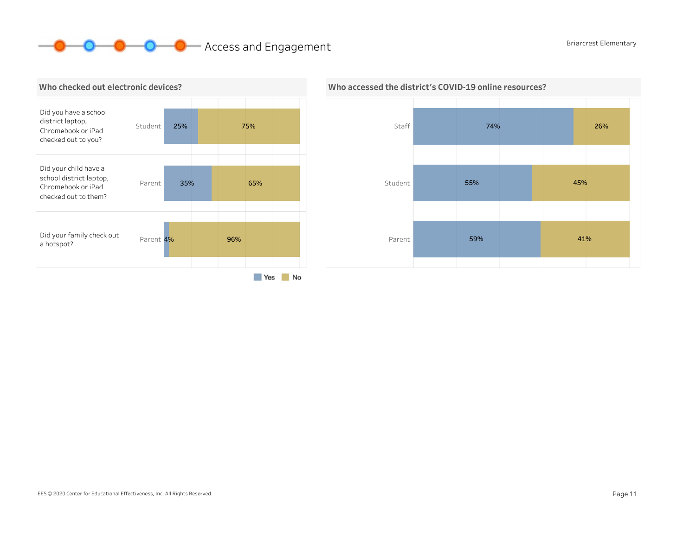# **O O** Access and Engagement Briarcrest Elementary





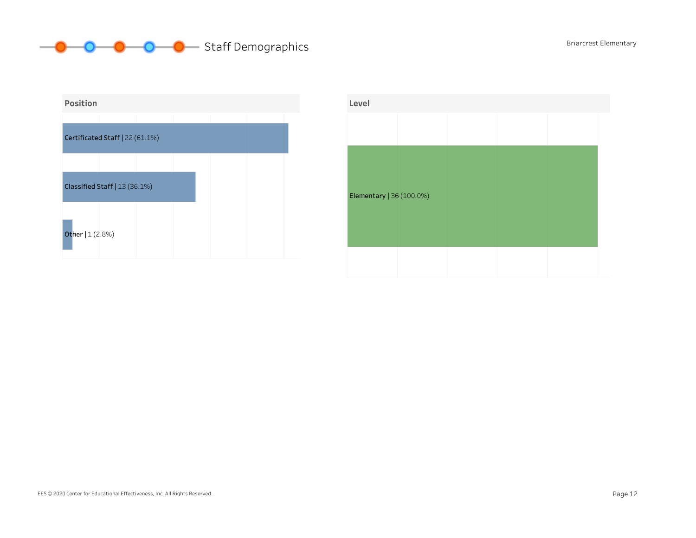## **Staff Demographics** Briarcrest Elementary



| Level                    |  |  |  |
|--------------------------|--|--|--|
|                          |  |  |  |
|                          |  |  |  |
|                          |  |  |  |
| Elementary   36 (100.0%) |  |  |  |
|                          |  |  |  |
|                          |  |  |  |
|                          |  |  |  |
|                          |  |  |  |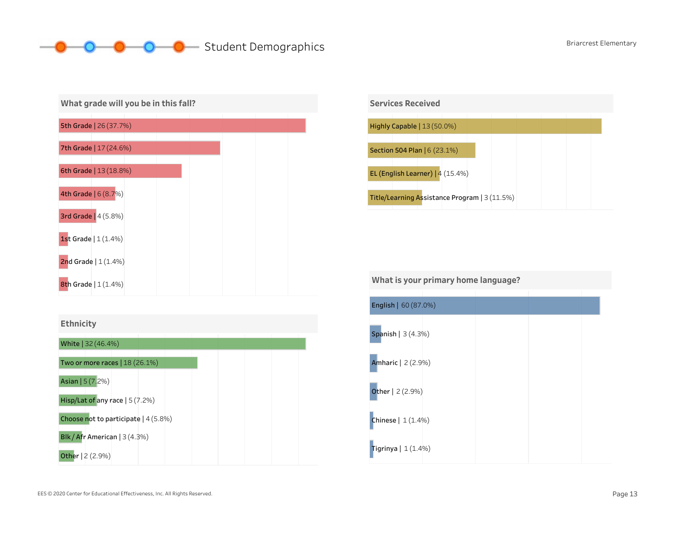## **O** Student Demographics Briarcrest Elementary







What is your primary home language?

| <b>English   60 (87.0%)</b> |  |  |
|-----------------------------|--|--|
| Spanish   3 (4.3%)          |  |  |
| Amharic   2 (2.9%)          |  |  |
| <b>Other</b>   2 (2.9%)     |  |  |
| <b>Chinese</b> $  1(1.4%)$  |  |  |
| Tigrinya   $1(1.4%)$        |  |  |